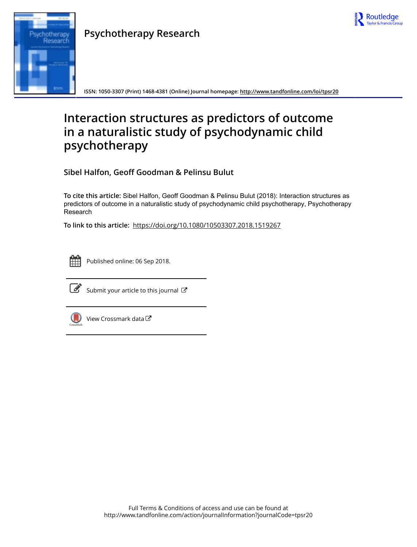

# Research

**Psychotherapy Research**

**ISSN: 1050-3307 (Print) 1468-4381 (Online) Journal homepage:<http://www.tandfonline.com/loi/tpsr20>**

# **Interaction structures as predictors of outcome in a naturalistic study of psychodynamic child psychotherapy**

**Sibel Halfon, Geoff Goodman & Pelinsu Bulut**

**To cite this article:** Sibel Halfon, Geoff Goodman & Pelinsu Bulut (2018): Interaction structures as predictors of outcome in a naturalistic study of psychodynamic child psychotherapy, Psychotherapy Research

**To link to this article:** <https://doi.org/10.1080/10503307.2018.1519267>



Published online: 06 Sep 2018.



 $\overrightarrow{S}$  [Submit your article to this journal](http://www.tandfonline.com/action/authorSubmission?journalCode=tpsr20&show=instructions)  $\overrightarrow{S}$ 



 $\bigcirc$  [View Crossmark data](http://crossmark.crossref.org/dialog/?doi=10.1080/10503307.2018.1519267&domain=pdf&date_stamp=2018-09-06) $\mathbb{Z}$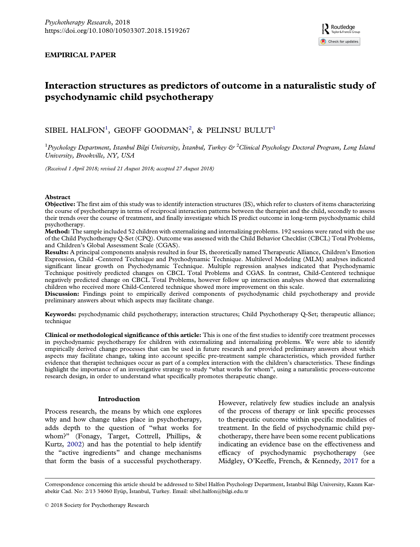### <span id="page-1-0"></span>EMPIRICAL PAPER

## Interaction structures as predictors of outcome in a naturalistic study of psychodynamic child psychotherapy

SIBEL HALFON<sup>1</sup>, GEOFF GOODMAN<sup>2</sup>, & PELINSU BULUT<sup>1</sup>

<sup>1</sup> Psychology Department, Istanbul Bilgi University, Istanbul, Turkey & <sup>2</sup>Clinical Psychology Doctoral Program, Long Island University, Brookville, NY, USA

(Received 1 April 2018; revised 21 August 2018; accepted 27 August 2018)

### Abstract

Objective: The first aim of this study was to identify interaction structures (IS), which refer to clusters of items characterizing the course of psychotherapy in terms of reciprocal interaction patterns between the therapist and the child, secondly to assess their trends over the course of treatment, and finally investigate which IS predict outcome in long-term psychodynamic child psychotherapy.

Method: The sample included 52 children with externalizing and internalizing problems. 192 sessions were rated with the use of the Child Psychotherapy Q-Set (CPQ). Outcome was assessed with the Child Behavior Checklist (CBCL) Total Problems, and Children's Global Assessment Scale (CGAS).

Results: A principal components analysis resulted in four IS, theoretically named Therapeutic Alliance, Children's Emotion Expression, Child -Centered Technique and Psychodynamic Technique. Multilevel Modeling (MLM) analyses indicated significant linear growth on Psychodynamic Technique. Multiple regression analyses indicated that Psychodynamic Technique positively predicted changes on CBCL Total Problems and CGAS. In contrast, Child-Centered technique negatively predicted change on CBCL Total Problems, however follow up interaction analyses showed that externalizing children who received more Child-Centered technique showed more improvement on this scale.

Discussion: Findings point to empirically derived components of psychodynamic child psychotherapy and provide preliminary answers about which aspects may facilitate change.

Keywords: psychodynamic child psychotherapy; interaction structures; Child Psychotherapy Q-Set; therapeutic alliance; technique

Clinical or methodological significance of this article: This is one of the first studies to identify core treatment processes in psychodynamic psychotherapy for children with externalizing and internalizing problems. We were able to identify empirically derived change processes that can be used in future research and provided preliminary answers about which aspects may facilitate change, taking into account specific pre-treatment sample characteristics, which provided further evidence that therapist techniques occur as part of a complex interaction with the children's characteristics. These findings highlight the importance of an investigative strategy to study "what works for whom", using a naturalistic process-outcome research design, in order to understand what specifically promotes therapeutic change.

### Introduction

Process research, the means by which one explores why and how change takes place in psychotherapy, adds depth to the question of "what works for whom?" (Fonagy, Target, Cottrell, Phillips, & Kurtz, [2002\)](#page-15-0) and has the potential to help identify the "active ingredients" and change mechanisms that form the basis of a successful psychotherapy. However, relatively few studies include an analysis of the process of therapy or link specific processes to therapeutic outcome within specific modalities of treatment. In the field of psychodynamic child psychotherapy, there have been some recent publications indicating an evidence base on the effectiveness and efficacy of psychodynamic psychotherapy (see Midgley, O'Keeffe, French, & Kennedy, [2017](#page-15-0) for a

Correspondence concerning this article should be addressed to Sibel Halfon Psychology Department, Istanbul Bilgi University, Kazım Karabekir Cad. No: 2/13 34060 Eyüp, İ stanbul, Turkey. Email: [sibel.halfon@bilgi.edu.tr](mailto:sibel.halfon@bilgi.edu.tr)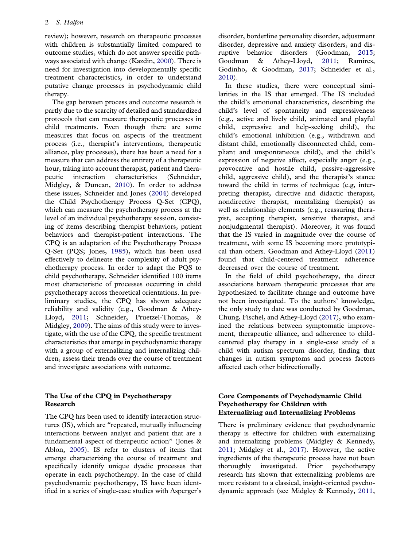<span id="page-2-0"></span>review); however, research on therapeutic processes with children is substantially limited compared to outcome studies, which do not answer specific pathways associated with change (Kazdin, [2000\)](#page-15-0). There is need for investigation into developmentally specific treatment characteristics, in order to understand putative change processes in psychodynamic child therapy.

The gap between process and outcome research is partly due to the scarcity of detailed and standardized protocols that can measure therapeutic processes in child treatments. Even though there are some measures that focus on aspects of the treatment process (i.e., therapist's interventions, therapeutic alliance, play processes), there has been a need for a measure that can address the entirety of a therapeutic hour, taking into account therapist, patient and therapeutic interaction characteristics (Schneider, Midgley, & Duncan, [2010](#page-16-0)). In order to address these issues, Schneider and Jones ([2004](#page-16-0)) developed the Child Psychotherapy Process Q-Set (CPQ), which can measure the psychotherapy process at the level of an individual psychotherapy session, consisting of items describing therapist behaviors, patient behaviors and therapist-patient interactions. The CPQ is an adaptation of the Psychotherapy Process Q-Set (PQS; Jones, [1985\)](#page-15-0), which has been used effectively to delineate the complexity of adult psychotherapy process. In order to adapt the PQS to child psychotherapy, Schneider identified 100 items most characteristic of processes occurring in child psychotherapy across theoretical orientations. In preliminary studies, the CPQ has shown adequate reliability and validity (e.g., Goodman & Athey-Lloyd, [2011;](#page-15-0) Schneider, Pruetzel-Thomas, & Midgley, [2009\)](#page-16-0). The aims of this study were to investigate, with the use of the CPQ, the specific treatment characteristics that emerge in psychodynamic therapy with a group of externalizing and internalizing children, assess their trends over the course of treatment and investigate associations with outcome.

### The Use of the CPQ in Psychotherapy Research

The CPQ has been used to identify interaction structures (IS), which are "repeated, mutually influencing interactions between analyst and patient that are a fundamental aspect of therapeutic action" (Jones & Ablon, [2005\)](#page-15-0). IS refer to clusters of items that emerge characterizing the course of treatment and specifically identify unique dyadic processes that operate in each psychotherapy. In the case of child psychodynamic psychotherapy, IS have been identified in a series of single-case studies with Asperger's disorder, borderline personality disorder, adjustment disorder, depressive and anxiety disorders, and disruptive behavior disorders (Goodman, [2015](#page-15-0); Goodman & Athey-Lloyd, [2011;](#page-15-0) Ramires, Godinho, & Goodman, [2017;](#page-16-0) Schneider et al., [2010\)](#page-16-0).

In these studies, there were conceptual similarities in the IS that emerged. The IS included the child's emotional characteristics, describing the child's level of spontaneity and expressiveness (e.g., active and lively child, animated and playful child, expressive and help-seeking child), the child's emotional inhibition (e.g., withdrawn and distant child, emotionally disconnected child, compliant and unspontaneous child), and the child's expression of negative affect, especially anger (e.g., provocative and hostile child, passive-aggressive child, aggressive child), and the therapist's stance toward the child in terms of technique (e.g, interpreting therapist, directive and didactic therapist, nondirective therapist, mentalizing therapist) as well as relationship elements (e.g., reassuring therapist, accepting therapist, sensitive therapist, and nonjudgmental therapist). Moreover, it was found that the IS varied in magnitude over the course of treatment, with some IS becoming more prototypical than others. Goodman and Athey-Lloyd ([2011\)](#page-15-0) found that child-centered treatment adherence decreased over the course of treatment.

In the field of child psychotherapy, the direct associations between therapeutic processes that are hypothesized to facilitate change and outcome have not been investigated. To the authors' knowledge, the only study to date was conducted by Goodman, Chung, Fischel, and Athey-Lloyd [\(2017](#page-15-0)), who examined the relations between symptomatic improvement, therapeutic alliance, and adherence to childcentered play therapy in a single-case study of a child with autism spectrum disorder, finding that changes in autism symptoms and process factors affected each other bidirectionally.

### Core Components of Psychodynamic Child Psychotherapy for Children with Externalizing and Internalizing Problems

There is preliminary evidence that psychodynamic therapy is effective for children with externalizing and internalizing problems (Midgley & Kennedy, [2011;](#page-15-0) Midgley et al., [2017](#page-15-0)). However, the active ingredients of the therapeutic process have not been thoroughly investigated. Prior psychotherapy research has shown that externalizing problems are more resistant to a classical, insight-oriented psychodynamic approach (see Midgley & Kennedy, [2011](#page-15-0),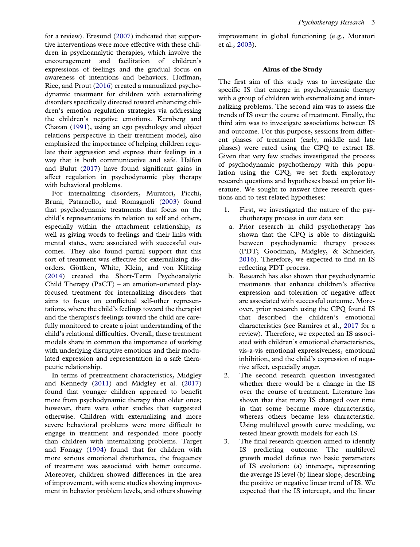<span id="page-3-0"></span>for a review). Eresund [\(2007\)](#page-15-0) indicated that supportive interventions were more effective with these children in psychoanalytic therapies, which involve the encouragement and facilitation of children's expressions of feelings and the gradual focus on awareness of intentions and behaviors. Hoffman, Rice, and Prout ([2016](#page-15-0)) created a manualized psychodynamic treatment for children with externalizing disorders specifically directed toward enhancing children's emotion regulation strategies via addressing the children's negative emotions. Kernberg and Chazan ([1991\)](#page-15-0), using an ego psychology and object relations perspective in their treatment model, also emphasized the importance of helping children regulate their aggression and express their feelings in a way that is both communicative and safe. Halfon and Bulut [\(2017\)](#page-15-0) have found significant gains in affect regulation in psychodynamic play therapy with behavioral problems.

For internalizing disorders, Muratori, Picchi, Bruni, Patarnello, and Romagnoli ([2003](#page-16-0)) found that psychodynamic treatments that focus on the child's representations in relation to self and others, especially within the attachment relationship, as well as giving words to feelings and their links with mental states, were associated with successful outcomes. They also found partial support that this sort of treatment was effective for externalizing disorders. Göttken, White, Klein, and von Klitzing ([2014\)](#page-15-0) created the Short-Term Psychoanalytic Child Therapy (PaCT) – an emotion-oriented playfocused treatment for internalizing disorders that aims to focus on conflictual self-other representations, where the child's feelings toward the therapist and the therapist's feelings toward the child are carefully monitored to create a joint understanding of the child's relational difficulties. Overall, these treatment models share in common the importance of working with underlying disruptive emotions and their modulated expression and representation in a safe therapeutic relationship.

In terms of pretreatment characteristics, Midgley and Kennedy ([2011](#page-15-0)) and Midgley et al. [\(2017\)](#page-15-0) found that younger children appeared to benefit more from psychodynamic therapy than older ones; however, there were other studies that suggested otherwise. Children with externalizing and more severe behavioral problems were more difficult to engage in treatment and responded more poorly than children with internalizing problems. Target and Fonagy ([1994\)](#page-16-0) found that for children with more serious emotional disturbance, the frequency of treatment was associated with better outcome. Moreover, children showed differences in the area of improvement, with some studies showing improvement in behavior problem levels, and others showing improvement in global functioning (e.g., Muratori et al., [2003\)](#page-16-0).

### Aims of the Study

The first aim of this study was to investigate the specific IS that emerge in psychodynamic therapy with a group of children with externalizing and internalizing problems. The second aim was to assess the trends of IS over the course of treatment. Finally, the third aim was to investigate associations between IS and outcome. For this purpose, sessions from different phases of treatment (early, middle and late phases) were rated using the CPQ to extract IS. Given that very few studies investigated the process of psychodynamic psychotherapy with this population using the CPQ, we set forth exploratory research questions and hypotheses based on prior literature. We sought to answer three research questions and to test related hypotheses:

- 1. First, we investigated the nature of the psychotherapy process in our data set:
	- a. Prior research in child psychotherapy has shown that the CPQ is able to distinguish between psychodynamic therapy process (PDT; Goodman, Midgley, & Schneider, [2016\)](#page-15-0). Therefore, we expected to find an IS reflecting PDT process.
- b. Research has also shown that psychodynamic treatments that enhance children's affective expression and toleration of negative affect are associated with successful outcome. Moreover, prior research using the CPQ found IS that described the children's emotional characteristics (see Ramires et al., [2017](#page-16-0) for a review). Therefore, we expected an IS associated with children's emotional characteristics, vis-a-vis emotional expressiveness, emotional inhibition, and the child's expression of negative affect, especially anger.
- 2. The second research question investigated whether there would be a change in the IS over the course of treatment. Literature has shown that that many IS changed over time in that some became more characteristic, whereas others became less characteristic. Using multilevel growth curve modeling, we tested linear growth models for each IS.
- 3. The final research question aimed to identify IS predicting outcome. The multilevel growth model defines two basic parameters of IS evolution: (a) intercept, representing the average IS level (b) linear slope, describing the positive or negative linear trend of IS. We expected that the IS intercept, and the linear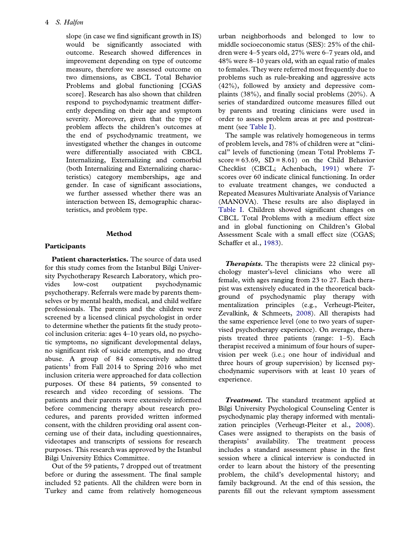### <span id="page-4-0"></span>4 S. Halfon

slope (in case we find significant growth in IS) would be significantly associated with outcome. Research showed differences in improvement depending on type of outcome measure, therefore we assessed outcome on two dimensions, as CBCL Total Behavior Problems and global functioning [CGAS score]. Research has also shown that children respond to psychodynamic treatment differently depending on their age and symptom severity. Moreover, given that the type of problem affects the children's outcomes at the end of psychodynamic treatment, we investigated whether the changes in outcome were differentially associated with CBCL Internalizing, Externalizing and comorbid (both Internalizing and Externalizing characteristics) category memberships, age and gender. In case of significant associations, we further assessed whether there was an interaction between IS, demographic characteristics, and problem type.

### Method

### **Participants**

Patient characteristics. The source of data used for this study comes from the Istanbul Bilgi University Psychotherapy Research Laboratory, which provides low-cost outpatient psychodynamic psychotherapy. Referrals were made by parents themselves or by mental health, medical, and child welfare professionals. The parents and the children were screened by a licensed clinical psychologist in order to determine whether the patients fit the study protocol inclusion criteria: ages 4–10 years old, no psychotic symptoms, no significant developmental delays, no significant risk of suicide attempts, and no drug abuse. A group of 84 consecutively admitted patients<sup>[1](#page-14-0)</sup> from Fall 2014 to Spring 2016 who met inclusion criteria were approached for data collection purposes. Of these 84 patients, 59 consented to research and video recording of sessions. The patients and their parents were extensively informed before commencing therapy about research procedures, and parents provided written informed consent, with the children providing oral assent concerning use of their data, including questionnaires, videotapes and transcripts of sessions for research purposes. This research was approved by the Istanbul Bilgi University Ethics Committee.

Out of the 59 patients, 7 dropped out of treatment before or during the assessment. The final sample included 52 patients. All the children were born in Turkey and came from relatively homogeneous urban neighborhoods and belonged to low to middle socioeconomic status (SES): 25% of the children were 4–5 years old, 27% were 6–7 years old, and 48% were 8–10 years old, with an equal ratio of males to females. They were referred most frequently due to problems such as rule-breaking and aggressive acts (42%), followed by anxiety and depressive complaints (38%), and finally social problems (20%). A series of standardized outcome measures filled out by parents and treating clinicians were used in order to assess problem areas at pre and posttreatment (see [Table I](#page-5-0)).

The sample was relatively homogeneous in terms of problem levels, and 78% of children were at "clinical" levels of functioning (mean Total Problems Tscore =  $63.69$ , SD =  $8.61$ ) on the Child Behavior Checklist (CBCL; Achenbach, [1991\)](#page-15-0) where Tscores over 60 indicate clinical functioning. In order to evaluate treatment changes, we conducted a Repeated Measures Multivariate Analysis of Variance (MANOVA). These results are also displayed in [Table I.](#page-5-0) Children showed significant changes on CBCL Total Problems with a medium effect size and in global functioning on Children's Global Assessment Scale with a small effect size (CGAS; Schaffer et al., [1983](#page-16-0)).

Therapists. The therapists were 22 clinical psychology master's-level clinicians who were all female, with ages ranging from 23 to 27. Each therapist was extensively educated in the theoretical background of psychodynamic play therapy with mentalization principles (e.g., Verheugt-Pleiter, Zevalkink, & Schmeets, [2008\)](#page-16-0). All therapists had the same experience level (one to two years of supervised psychotherapy experience). On average, therapists treated three patients (range: 1–5). Each therapist received a minimum of four hours of supervision per week (i.e.; one hour of individual and three hours of group supervision) by licensed psychodynamic supervisors with at least 10 years of experience.

Treatment. The standard treatment applied at Bilgi University Psychological Counseling Center is psychodynamic play therapy informed with mentalization principles (Verheugt-Pleiter et al., [2008\)](#page-16-0). Cases were assigned to therapists on the basis of therapists' availability. The treatment process includes a standard assessment phase in the first session where a clinical interview is conducted in order to learn about the history of the presenting problem, the child's developmental history; and family background. At the end of this session, the parents fill out the relevant symptom assessment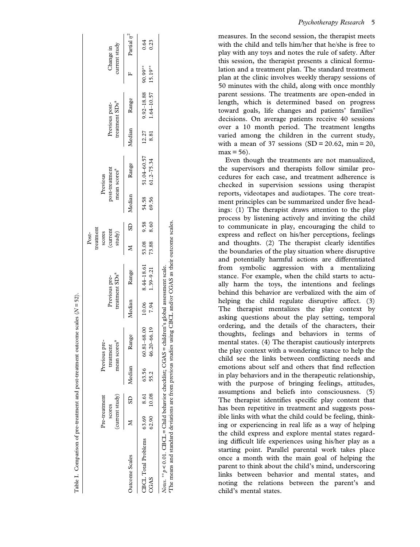<span id="page-5-0"></span>

|                                                                                                                                                                                                                 |                 |        |                          |        |                            | Post-      |                        |        |                          |        |                                   |    |                  |
|-----------------------------------------------------------------------------------------------------------------------------------------------------------------------------------------------------------------|-----------------|--------|--------------------------|--------|----------------------------|------------|------------------------|--------|--------------------------|--------|-----------------------------------|----|------------------|
|                                                                                                                                                                                                                 |                 |        |                          |        |                            | treatment  |                        |        |                          |        |                                   |    |                  |
|                                                                                                                                                                                                                 | Pre-treatment   |        | Previous pre-            |        |                            | scores     |                        |        | Previous                 |        |                                   |    |                  |
|                                                                                                                                                                                                                 | scores          |        | treatment                |        | Previous pre-              | (current   |                        |        | post-treatment           |        | Previous post-                    |    | Change in        |
|                                                                                                                                                                                                                 | (current study) |        | mean scores <sup>"</sup> |        | treatment SDs <sup>a</sup> | study)     |                        |        | mean scores <sup>a</sup> |        | treatment SDs <sup>a</sup>        |    | current study    |
| <b>Jutcome Scales</b>                                                                                                                                                                                           | e               | Median | Range                    | Median | Range                      |            | $\overline{\text{SD}}$ | Median | Range                    | Median | Range                             | L. | Partial $\eta^2$ |
| CBCL Total Problems 63.69 8.61 63.56 60.81-68.00 10.06 8.44-18.61                                                                                                                                               |                 |        |                          |        |                            | 53.08 9.58 |                        | 54.58  | 51.04-60.57              | 12.27  | $9.92 - 18.88$ 90.9 <sup>**</sup> |    | 0.64             |
| CGAS                                                                                                                                                                                                            | 62.90 10.08     | 55.2   | 46.20-66.19              |        | $7.94$ 1.39-9.21           | 73.88      | 8.60                   | 69.56  | $61.2 - 75.34$           | 8.81   | $1.64 - 10.57$ 15.19**            |    | 0.23             |
| The means and standard deviations are from previous studies using CBCI, and/or CGAS as their outcome scales.<br>$N_0 t \geq 0.91$ , CBCL = Child behavior checklist; CGAS = children's global assessment scale. |                 |        |                          |        |                            |            |                        |        |                          |        |                                   |    |                  |
|                                                                                                                                                                                                                 |                 |        |                          |        |                            |            |                        |        |                          |        |                                   |    |                  |

ªThe means and standard deviations are from previous studies using CBCL and/or CGAS as their outcome scales.

Psychotherapy Research 5

measures. In the second session, the therapist meets with the child and tells him/her that he/she is free to play with any toys and notes the rule of safety. After this session, the therapist presents a clinical formulation and a treatment plan. The standard treatment plan at the clinic involves weekly therapy sessions of 50 minutes with the child, along with once monthly parent sessions. The treatments are open-ended in length, which is determined based on progress toward goals, life changes and patients ' families ' decisions. On average patients receive 40 sessions over a 10 month period. The treatment lengths varied among the children in the current study, with a mean of 37 sessions  $(SD = 20.62, \text{ min} = 20,$  $max = 56$ ).

Even though the treatments are not manualized, the supervisors and therapists follow similar procedures for each case, and treatment adherence is checked in supervision sessions using therapist reports, videotapes and audiotapes. The core treatment principles can be summarized under five headings: (1) The therapist draws attention to the play process by listening actively and inviting the child to communicate in play, encouraging the child to express and reflect on his/her perceptions, feelings and thoughts. (2) The therapist clearly identifies the boundaries of the play situation where disruptive and potentially harmful actions are differentiated from symbolic aggression with a mentalizing stance. For example, when the child starts to actually harm the toys, the intentions and feelings behind this behavior are verbalized with the aim of helping the child regulate disruptive affect. (3) The therapist mentalizes the play context by asking questions about the play setting, temporal ordering, and the details of the characters, their thoughts, feelings and behaviors in terms of mental states. (4) The therapist cautiously interprets the play context with a wondering stance to help the child see the links between conflicting needs and emotions about self and others that find reflection in play behaviors and in the therapeutic relationship, with the purpose of bringing feelings, attitudes, assumptions and beliefs into consciousness. (5) The therapist identifies specific play content that has been repetitive in treatment and suggests possible links with what the child could be feeling, thinking or experiencing in real life as a way of helping the child express and explore mental states regarding difficult life experiences using his/her play as a starting point. Parallel parental work takes place once a month with the main goal of helping the parent to think about the child 's mind, underscoring links between behavior and mental states, and noting the relations between the parent 's and child 's mental states.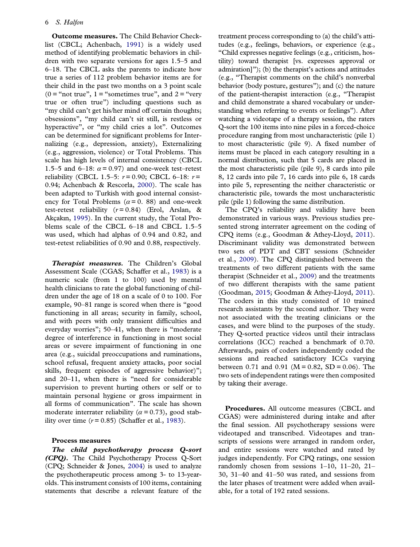<span id="page-6-0"></span>Outcome measures. The Child Behavior Checklist (CBCL; Achenbach, [1991\)](#page-15-0) is a widely used method of identifying problematic behaviors in children with two separate versions for ages 1.5–5 and 6–18. The CBCL asks the parents to indicate how true a series of 112 problem behavior items are for their child in the past two months on a 3 point scale  $(0 = "not true", 1 = "sometimes true", and 2 = "very"$ true or often true") including questions such as "my child can't get his/her mind off certain thoughts; obsessions", "my child can't sit still, is restless or hyperactive", or "my child cries a lot". Outcomes can be determined for significant problems for Internalizing (e.g., depression, anxiety), Externalizing (e.g., aggression, violence) or Total Problems. This scale has high levels of internal consistency (CBCL 1.5–5 and 6–18:  $\alpha$  = 0.97) and one-week test–retest reliability (CBCL 1.5-5:  $r = 0.90$ ; CBCL 6-18:  $r =$ 0.94; Achenbach & Rescorla, [2000](#page-15-0)). The scale has been adapted to Turkish with good internal consistency for Total Problems ( $\alpha$  = 0. 88) and one-week test-retest reliability  $(r=0.84)$  (Erol, Arslan, & Akçakın, [1995\)](#page-15-0). In the current study, the Total Problems scale of the CBCL 6–18 and CBCL 1.5–5 was used, which had alphas of 0.94 and 0.82, and test-retest reliabilities of 0.90 and 0.88, respectively.

Therapist measures. The Children's Global Assessment Scale (CGAS; Schaffer et al., [1983](#page-16-0)) is a numeric scale (from 1 to 100) used by mental health clinicians to rate the global functioning of children under the age of 18 on a scale of 0 to 100. For example, 90–81 range is scored when there is "good functioning in all areas; security in family, school, and with peers with only transient difficulties and everyday worries"; 50–41, when there is "moderate degree of interference in functioning in most social areas or severe impairment of functioning in one area (e.g., suicidal preoccupations and ruminations, school refusal, frequent anxiety attacks, poor social skills, frequent episodes of aggressive behavior)"; and 20–11, when there is "need for considerable supervision to prevent hurting others or self or to maintain personal hygiene or gross impairment in all forms of communication". The scale has shown moderate interrater reliability ( $\alpha$  = 0.73), good stability over time  $(r = 0.85)$  (Schaffer et al., [1983\)](#page-16-0).

### Process measures

The child psychotherapy process Q-sort (CPQ). The Child Psychotherapy Process Q-Sort (CPQ; Schneider & Jones, [2004\)](#page-16-0) is used to analyze the psychotherapeutic process among 3- to 13-yearolds. This instrument consists of 100 items, containing statements that describe a relevant feature of the

treatment process corresponding to (a) the child's attitudes (e.g., feelings, behaviors, or experience (e.g., "Child expresses negative feelings (e.g., criticism, hostility) toward therapist [vs. expresses approval or admiration]"); (b) the therapist's actions and attitudes (e.g., "Therapist comments on the child's nonverbal behavior (body posture, gestures"); and (c) the nature of the patient-therapist interaction (e.g., "Therapist and child demonstrate a shared vocabulary or understanding when referring to events or feelings"). After watching a videotape of a therapy session, the raters Q-sort the 100 items into nine piles in a forced-choice procedure ranging from most uncharacteristic (pile 1) to most characteristic (pile 9). A fixed number of items must be placed in each category resulting in a normal distribution, such that 5 cards are placed in the most characteristic pile (pile 9), 8 cards into pile 8, 12 cards into pile 7, 16 cards into pile 6, 18 cards into pile 5, representing the neither characteristic or characteristic pile, towards the most uncharacteristic pile (pile 1) following the same distribution.

The CPQ's reliability and validity have been demonstrated in various ways. Previous studies presented strong interrater agreement on the coding of CPQ items (e.g., Goodman & Athey-Lloyd, [2011\)](#page-15-0). Discriminant validity was demonstrated between two sets of PDT and CBT sessions (Schneider et al., [2009\)](#page-16-0). The CPQ distinguished between the treatments of two different patients with the same therapist (Schneider et al., [2009](#page-16-0)) and the treatments of two different therapists with the same patient (Goodman, [2015](#page-15-0); Goodman & Athey-Lloyd, [2011\)](#page-15-0). The coders in this study consisted of 10 trained research assistants by the second author. They were not associated with the treating clinicians or the cases, and were blind to the purposes of the study. They Q-sorted practice videos until their intraclass correlations (ICC) reached a benchmark of 0.70. Afterwards, pairs of coders independently coded the sessions and reached satisfactory ICCs varying between 0.71 and 0.91 ( $M = 0.82$ , SD = 0.06). The two sets of independent ratings were then composited by taking their average.

Procedures. All outcome measures (CBCL and CGAS) were administered during intake and after the final session. All psychotherapy sessions were videotaped and transcribed. Videotapes and transcripts of sessions were arranged in random order, and entire sessions were watched and rated by judges independently. For CPQ ratings, one session randomly chosen from sessions 1–10, 11–20, 21– 30, 31–40 and 41–50 was rated, and sessions from the later phases of treatment were added when available, for a total of 192 rated sessions.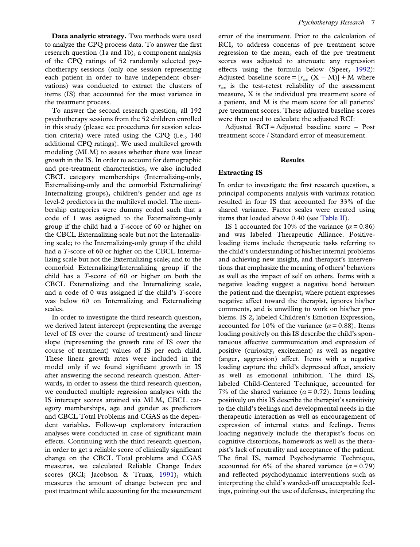<span id="page-7-0"></span>Data analytic strategy. Two methods were used to analyze the CPQ process data. To answer the first research question (1a and 1b), a component analysis of the CPQ ratings of 52 randomly selected psychotherapy sessions (only one session representing each patient in order to have independent observations) was conducted to extract the clusters of items (IS) that accounted for the most variance in the treatment process.

To answer the second research question, all 192 psychotherapy sessions from the 52 children enrolled in this study (please see procedures for session selection criteria) were rated using the CPQ (i.e., 140 additional CPQ ratings). We used multilevel growth modeling (MLM) to assess whether there was linear growth in the IS. In order to account for demographic and pre-treatment characteristics, we also included CBCL category memberships (Internalizing-only, Externalizing-only and the comorbid Externalizing/ Internalizing groups), children's gender and age as level-2 predictors in the multilevel model. The membership categories were dummy coded such that a code of 1 was assigned to the Externalizing-only group if the child had a T-score of 60 or higher on the CBCL Externalizing scale but not the Internalizing scale; to the Internalizing-only group if the child had a T-score of 60 or higher on the CBCL Internalizing scale but not the Externalizing scale; and to the comorbid Externalizing/Internalizing group if the child has a T-score of 60 or higher on both the CBCL Externalizing and the Internalizing scale, and a code of 0 was assigned if the child's T-score was below 60 on Internalizing and Externalizing scales.

In order to investigate the third research question, we derived latent intercept (representing the average level of IS over the course of treatment) and linear slope (representing the growth rate of IS over the course of treatment) values of IS per each child. These linear growth rates were included in the model only if we found significant growth in IS after answering the second research question. Afterwards, in order to assess the third research question, we conducted multiple regression analyses with the IS intercept scores attained via MLM, CBCL category memberships, age and gender as predictors and CBCL Total Problems and CGAS as the dependent variables. Follow-up exploratory interaction analyses were conducted in case of significant main effects. Continuing with the third research question, in order to get a reliable score of clinically significant change on the CBCL Total problems and CGAS measures, we calculated Reliable Change Index scores (RCI; Jacobson & Truax, [1991\)](#page-15-0), which measures the amount of change between pre and post treatment while accounting for the measurement error of the instrument. Prior to the calculation of RCI, to address concerns of pre treatment score regression to the mean, each of the pre treatment scores was adjusted to attenuate any regression effects using the formula below (Speer, [1992\)](#page-16-0): Adjusted baseline score =  $[r_{xx} (X - M)] + M$  where  $r_{xx}$  is the test-retest reliability of the assessment measure, X is the individual pre treatment score of a patient, and M is the mean score for all patients' pre treatment scores. These adjusted baseline scores were then used to calculate the adjusted RCI:

Adjusted  $RCI = Adjusted baseline score - Post$ treatment score / Standard error of measurement.

### Results

### Extracting IS

In order to investigate the first research question, a principal components analysis with varimax rotation resulted in four IS that accounted for 33% of the shared variance. Factor scales were created using items that loaded above 0.40 (see [Table II\)](#page-8-0).

IS 1 accounted for 10% of the variance ( $\alpha$  = 0.86) and was labeled Therapeutic Alliance. Positiveloading items include therapeutic tasks referring to the child's understanding of his/her internal problems and achieving new insight, and therapist's interventions that emphasize the meaning of others' behaviors as well as the impact of self on others. Items with a negative loading suggest a negative bond between the patient and the therapist, where patient expresses negative affect toward the therapist, ignores his/her comments, and is unwilling to work on his/her problems. IS 2, labeled Children's Emotion Expression, accounted for 10% of the variance ( $\alpha$  = 0.88). Items loading positively on this IS describe the child's spontaneous affective communication and expression of positive (curiosity, excitement) as well as negative (anger, aggression) affect. Items with a negative loading capture the child's depressed affect, anxiety as well as emotional inhibition. The third IS, labeled Child-Centered Technique, accounted for 7% of the shared variance ( $\alpha$  = 0.72). Items loading positively on this IS describe the therapist's sensitivity to the child's feelings and developmental needs in the therapeutic interaction as well as encouragement of expression of internal states and feelings. Items loading negatively include the therapist's focus on cognitive distortions, homework as well as the therapist's lack of neutrality and acceptance of the patient. The final IS, named Psychodynamic Technique, accounted for 6% of the shared variance ( $\alpha$  = 0.79) and reflected psychodynamic interventions such as interpreting the child's warded-off unacceptable feelings, pointing out the use of defenses, interpreting the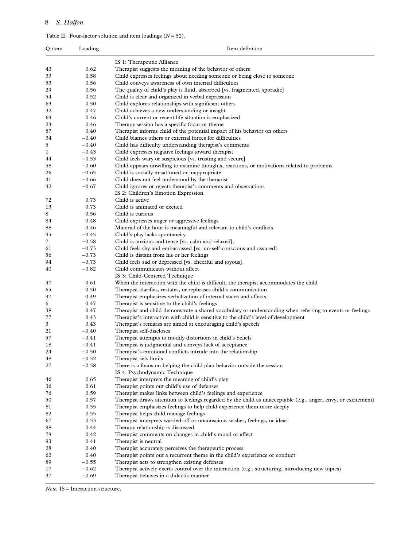<span id="page-8-0"></span>

|  | Table II. Four-factor solution and item loadings ( $N = 52$ ). |  |  |  |  |  |
|--|----------------------------------------------------------------|--|--|--|--|--|
|--|----------------------------------------------------------------|--|--|--|--|--|

| Q-item   | Loading      | Item definition                                                                                                   |
|----------|--------------|-------------------------------------------------------------------------------------------------------------------|
|          |              | IS 1: Therapeutic Alliance                                                                                        |
| 43       | 0.62         | Therapist suggests the meaning of the behavior of others                                                          |
| 33       | 0.58         | Child expresses feelings about needing someone or being close to someone                                          |
| 53       | 0.56         | Child conveys awareness of own internal difficulties                                                              |
| 29       | 0.56         | The quality of child's play is fluid, absorbed [vs. fragmented, sporadic]                                         |
| 54       | 0.52         | Child is clear and organized in verbal expression                                                                 |
| 63       | 0.50         | Child explores relationships with significant others                                                              |
| 32       | 0.47         | Child achieves a new understanding or insight                                                                     |
| 69       | 0.46         | Child's current or recent life situation is emphasized                                                            |
| 23       | 0.46         | Therapy session has a specific focus or theme                                                                     |
| 87       | 0.40         | Therapist informs child of the potential impact of his behavior on others                                         |
| 34       | $-0.40$      | Child blames others or external forces for difficulties                                                           |
| 5        | $-0.40$      | Child has difficulty understanding therapist's comments                                                           |
| 1        | $-0.43$      | Child expresses negative feelings toward therapist                                                                |
| 44       | $-0.53$      | Child feels wary or suspicious [vs. trusting and secure]                                                          |
| 58       | $-0.60$      | Child appears unwilling to examine thoughts, reactions, or motivations related to problems                        |
| 26       | $-0.65$      | Child is socially misattuned or inappropriate                                                                     |
| 41       | $-0.66$      | Child does not feel understood by the therapist<br>Child ignores or rejects therapist's comments and observations |
| 42       | $-0.67$      | IS 2: Children's Emotion Expression                                                                               |
| 72       | 0.73         | Child is active                                                                                                   |
| 13       | 0.73         | Child is animated or excited                                                                                      |
| 8        | 0.56         | Child is curious                                                                                                  |
| 84       | 0.48         | Child expresses anger or aggressive feelings                                                                      |
| 88       | 0.46         | Material of the hour is meaningful and relevant to child's conflicts                                              |
| 95       | $-0.45$      | Child's play lacks spontaneity                                                                                    |
| 7        | $-0.58$      | Child is anxious and tense [vs. calm and relaxed].                                                                |
| 61       | $-0.73$      | Child feels shy and embarrassed [vs. un-self-conscious and assured].                                              |
| 56       | $-0.73$      | Child is distant from his or her feelings                                                                         |
| 94       | $-0.73$      | Child feels sad or depressed [vs. cheerful and joyous].                                                           |
| 40       | $-0.82$      | Child communicates without affect                                                                                 |
|          |              | IS 3: Child-Centered Technique                                                                                    |
| 47       | 0.61         | When the interaction with the child is difficult, the therapist accommodates the child                            |
| 65       | 0.50         | Therapist clarifies, restates, or rephrases child's communication                                                 |
| 97       | 0.49         | Therapist emphasizes verbalization of internal states and affects                                                 |
| 6        | 0.47         | Therapist is sensitive to the child's feelings                                                                    |
| 38       | 0.47         | Therapist and child demonstrate a shared vocabulary or understanding when referring to events or feelings         |
| 77       | 0.43         | Therapist's interaction with child is sensitive to the child's level of development                               |
| 3        | 0.43         | Therapist's remarks are aimed at encouraging child's speech                                                       |
| 21       | $-0.40$      | Therapist self-discloses                                                                                          |
| 57       | $-0.41$      | Therapist attempts to modify distortions in child's beliefs                                                       |
| 18       | $-0.41$      | Therapist is judgmental and conveys lack of acceptance                                                            |
| 24       | $-0.50$      | Therapist's emotional conflicts intrude into the relationship                                                     |
| 48       | $-0.52$      | Therapist sets limits                                                                                             |
| 27       | $-0.58$      | There is a focus on helping the child plan behavior outside the session                                           |
|          |              | IS 4: Psychodynamic Technique                                                                                     |
| 46       | 0.65         | Therapist interprets the meaning of child's play                                                                  |
| 36<br>76 | 0.61         | Therapist points out child's use of defenses<br>Therapist makes links between child's feelings and experience     |
| 50       | 0.59<br>0.57 | Therapist draws attention to feelings regarded by the child as unacceptable (e.g., anger, envy, or excitement)    |
| 81       | 0.55         | Therapist emphasizes feelings to help child experience them more deeply                                           |
| 82       | 0.55         | Therapist helps child manage feelings                                                                             |
| 67       | 0.53         | Therapist interprets warded-off or unconscious wishes, feelings, or ideas                                         |
| 98       | 0.44         | Therapy relationship is discussed                                                                                 |
| 79       | 0.42         | Therapist comments on changes in child's mood or affect                                                           |
| 93       | 0.41         | Therapist is neutral                                                                                              |
| 28       | 0.40         | Therapist accurately perceives the therapeutic process                                                            |
| 62       | 0.40         | Therapist points out a recurrent theme in the child's experience or conduct                                       |
| 89       | $-0.55$      | Therapist acts to strengthen existing defenses                                                                    |
| 17       | $-0.62$      | Therapist actively exerts control over the interaction (e.g., structuring, introducing new topics)                |
| 37       | $-0.69$      | Therapist behaves in a didactic manner                                                                            |

Note. IS = Interaction structure.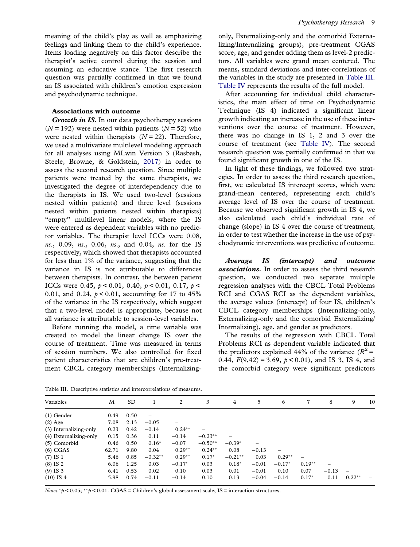<span id="page-9-0"></span>meaning of the child's play as well as emphasizing feelings and linking them to the child's experience. Items loading negatively on this factor describe the therapist's active control during the session and assuming an educative stance. The first research question was partially confirmed in that we found an IS associated with children's emotion expression and psychodynamic technique.

### Associations with outcome

Growth in IS. In our data psychotherapy sessions  $(N = 192)$  were nested within patients  $(N = 52)$  who were nested within therapists  $(N = 22)$ . Therefore, we used a multivariate multilevel modeling approach for all analyses using MLwin Version 3 (Rasbash, Steele, Browne, & Goldstein, [2017\)](#page-16-0) in order to assess the second research question. Since multiple patients were treated by the same therapists, we investigated the degree of interdependency due to the therapists in IS. We used two-level (sessions nested within patients) and three level (sessions nested within patients nested within therapists) "empty" multilevel linear models, where the IS were entered as dependent variables with no predictor variables. The therapist level ICCs were 0.08, ns., 0.09, ns., 0.06, ns., and 0.04, ns. for the IS respectively, which showed that therapists accounted for less than 1% of the variance, suggesting that the variance in IS is not attributable to differences between therapists. In contrast, the between patient ICCs were 0.45,  $p < 0.01$ , 0.40,  $p < 0.01$ , 0.17,  $p <$ 0.01, and 0.24,  $p < 0.01$ , accounting for 17 to 45% of the variance in the IS respectively, which suggest that a two-level model is appropriate, because not all variance is attributable to session-level variables.

Before running the model, a time variable was created to model the linear change IS over the course of treatment. Time was measured in terms of session numbers. We also controlled for fixed patient characteristics that are children's pre-treatment CBCL category memberships (Internalizingonly, Externalizing-only and the comorbid Externalizing/Internalizing groups), pre-treatment CGAS score, age, and gender adding them as level-2 predictors. All variables were grand mean centered. The means, standard deviations and inter-correlations of the variables in the study are presented in Table III. [Table IV](#page-10-0) represents the results of the full model.

After accounting for individual child characteristics, the main effect of time on Psychodynamic Technique (IS 4) indicated a significant linear growth indicating an increase in the use of these interventions over the course of treatment. However, there was no change in IS 1, 2 and 3 over the course of treatment (see [Table IV\)](#page-10-0). The second research question was partially confirmed in that we found significant growth in one of the IS.

In light of these findings, we followed two strategies. In order to assess the third research question, first, we calculated IS intercept scores, which were grand-mean centered, representing each child's average level of IS over the course of treatment. Because we observed significant growth in IS 4, we also calculated each child's individual rate of change (slope) in IS 4 over the course of treatment, in order to test whether the increase in the use of psychodynamic interventions was predictive of outcome.

Average IS (intercept) and outcome associations. In order to assess the third research question, we conducted two separate multiple regression analyses with the CBCL Total Problems RCI and CGAS RCI as the dependent variables, the average values (intercept) of four IS, children's CBCL category memberships (Internalizing-only, Externalizing-only and the comorbid Externalizing/ Internalizing), age, and gender as predictors.

The results of the regression with CBCL Total Problems RCI as dependent variable indicated that the predictors explained 44% of the variance ( $R^2$  = 0.44,  $F(9,42) = 3.69$ ,  $p < 0.01$ ), and IS 3, IS 4, and the comorbid category were significant predictors

Table III. Descriptive statistics and intercorrelations of measures.

| Variables              | M     | <b>SD</b> |                          | 2        | 3         | 4         | 5       | 6        | 7        | 8                        | 9                        | 10 |
|------------------------|-------|-----------|--------------------------|----------|-----------|-----------|---------|----------|----------|--------------------------|--------------------------|----|
| $(1)$ Gender           | 0.49  | 0.50      | $\overline{\phantom{m}}$ |          |           |           |         |          |          |                          |                          |    |
| $(2)$ Age              | 7.08  | 2.13      | $-0.05$                  | -        |           |           |         |          |          |                          |                          |    |
| (3) Internalizing-only | 0.23  | 0.42      | $-0.14$                  | $0.24**$ |           |           |         |          |          |                          |                          |    |
| (4) Externalizing-only | 0.15  | 0.36      | 0.11                     | $-0.14$  | $-0.23**$ |           |         |          |          |                          |                          |    |
| $(5)$ Comorbid         | 0.46  | 0.50      | $0.16*$                  | $-0.07$  | $-0.50**$ | $-0.39*$  |         |          |          |                          |                          |    |
| (6) CGAS               | 62.71 | 9.80      | 0.04                     | $0.29**$ | $0.24**$  | 0.08      | $-0.13$ |          |          |                          |                          |    |
| $(7)$ IS 1             | 5.46  | 0.85      | $-0.32**$                | $0.29**$ | $0.17*$   | $-0.21**$ | 0.03    | $0.29**$ |          |                          |                          |    |
| $(8)$ IS 2             | 6.06  | 1.25      | 0.03                     | $-0.17*$ | 0.03      | $0.18*$   | $-0.01$ | $-0.17*$ | $0.19**$ | $\overline{\phantom{m}}$ |                          |    |
| $(9)$ IS 3             | 6.41  | 0.53      | 0.02                     | 0.10     | 0.03      | 0.01      | $-0.01$ | 0.10     | 0.07     | $-0.13$                  | $\overline{\phantom{0}}$ |    |
| $(10)$ IS 4            | 5.98  | 0.74      | $-0.11$                  | $-0.14$  | 0.10      | 0.13      | $-0.04$ | $-0.14$  | $0.17*$  | 0.11                     | $0.22**$                 |    |

 $Notes. *p < 0.05; **p < 0.01$ . CGAS = Children's global assessment scale; IS = interaction structures.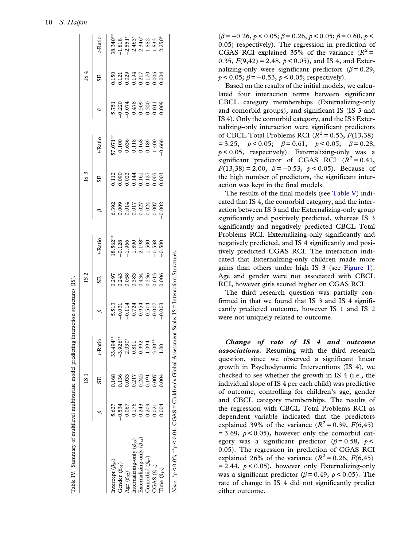<span id="page-10-0"></span>

|                                   |          | $\mathbf{z}$ |            |                                                    | 1S <sub>2</sub>                                                           |                                                                                  |                                                          | IS <sub>3</sub>                                     |                                                                                                                                |                                                                                         | 1S <sub>4</sub>                                     |                                                                                                                                                                                                                                                                                                                                                                          |
|-----------------------------------|----------|--------------|------------|----------------------------------------------------|---------------------------------------------------------------------------|----------------------------------------------------------------------------------|----------------------------------------------------------|-----------------------------------------------------|--------------------------------------------------------------------------------------------------------------------------------|-----------------------------------------------------------------------------------------|-----------------------------------------------------|--------------------------------------------------------------------------------------------------------------------------------------------------------------------------------------------------------------------------------------------------------------------------------------------------------------------------------------------------------------------------|
|                                   |          | SE           | t-Ratio    | $\beta$                                            | <b>SE</b>                                                                 | t-Ratio                                                                          | p                                                        | SE <sub></sub>                                      | t-Ratio                                                                                                                        | B                                                                                       | SE                                                  | t-Ratio                                                                                                                                                                                                                                                                                                                                                                  |
| Intercept $(\beta_{00})$          | 5.627    | 0.168        | 33.494**   |                                                    |                                                                           |                                                                                  |                                                          |                                                     |                                                                                                                                |                                                                                         |                                                     |                                                                                                                                                                                                                                                                                                                                                                          |
| Gender $(\beta_{01})$             | $-0.534$ | 0.136        | $-3.926**$ |                                                    |                                                                           |                                                                                  |                                                          |                                                     |                                                                                                                                |                                                                                         |                                                     |                                                                                                                                                                                                                                                                                                                                                                          |
| Age $(\beta_{02})$                | 0.067    | 0.033        | $2.030*$   |                                                    |                                                                           |                                                                                  |                                                          |                                                     |                                                                                                                                |                                                                                         |                                                     |                                                                                                                                                                                                                                                                                                                                                                          |
| internalizing-only $(\beta_{03})$ | 0.176    | 0.217        | 0.811      |                                                    |                                                                           |                                                                                  |                                                          |                                                     |                                                                                                                                |                                                                                         |                                                     |                                                                                                                                                                                                                                                                                                                                                                          |
| Externalizing-only $(\beta_{04})$ | $-0.243$ | 0.245        | $-0.992$   |                                                    |                                                                           |                                                                                  |                                                          |                                                     |                                                                                                                                |                                                                                         |                                                     |                                                                                                                                                                                                                                                                                                                                                                          |
| Comorbid $(\beta_{05})$           | 0.209    | 191          | 1.094      |                                                    |                                                                           |                                                                                  |                                                          |                                                     |                                                                                                                                |                                                                                         |                                                     |                                                                                                                                                                                                                                                                                                                                                                          |
| $CGAS(\beta_{06})$                | 0.021    | 1.007        | $3.00**$   | 5.513<br>0.031<br>0.724<br>0.504<br>0.007<br>0.007 | $0.297$<br>$0.243$<br>$0.058$<br>$0.383$<br>$0.336$<br>$0.013$<br>$0.006$ | $18.562$<br>$-0.128$<br>$-1.966$<br>$-1.890$<br>$-1.500$<br>$-1.500$<br>$-0.538$ | 6.392<br>0.00014<br>0.0017<br>0.0027<br>0.0000<br>0.0000 | 0.112<br>0.0900<br>0.022<br>0.144<br>0.127<br>0.005 | $\begin{array}{c} * \ * \ 0.100 \ 0.100 \ 0.636 \ 0.118 \ 0.100 \ 0.116 \ 0.100 \ 0.116 \ 0.130 \ 0.1400 \ 0.1400 \end{array}$ | $5.751$<br>$-0.220$<br>$-0.674$<br>$-0.674$<br>$0.509$<br>$0.500$<br>$0.011$<br>$0.009$ | 0.150<br>0.121<br>0.0234<br>0.170<br>0.000<br>0.000 | $\begin{array}{l} \mathbf{38.340}^{**} \\ \mathbf{39.340} \\ -1.818 \\ -1.551 \\ -2.551 \\ \text{A} \\ \mathbf{403} \\ \text{B} \\ \mathbf{52.340} \\ -1.818 \\ \text{B} \\ \mathbf{53.350}^{*} \\ \mathbf{63.350}^{*} \\ \mathbf{73.350}^{*} \\ \mathbf{88.350}^{*} \\ \mathbf{0.350}^{*} \\ \mathbf{0.350}^{*} \\ \mathbf{0.350}^{*} \\ \mathbf{0.350}^{*} \\ \mathbf$ |
| Time $(\beta_{10})$               | 0.004    | 0.004        | 00         |                                                    |                                                                           |                                                                                  |                                                          |                                                     |                                                                                                                                |                                                                                         |                                                     |                                                                                                                                                                                                                                                                                                                                                                          |

 $(\beta = -0.26, p < 0.05; \beta = 0.26, p < 0.05; \beta = 0.60, p <$ 0.05; respectively). The regression in prediction of CGAS RCI explained 35% of the variance  $(R^2 =$ 0.35,  $F(9,42) = 2.48$ ,  $p < 0.05$ ), and IS 4, and Externalizing-only were significant predictors  $(\beta = 0.29)$ ,  $p < 0.05$ ;  $\beta = -0.53$ ,  $p < 0.05$ ; respectively).

Based on the results of the initial models, we calculated four interaction terms between significant CBCL category memberships (Externalizing-only and comorbid groups), and significant IS (IS 3 and IS 4). Only the comorbid category, and the IS3 Externalizing-only interaction were significant predictors of CBCL Total Problems RCI ( $R^2 = 0.53$ ,  $F(13,38)$ )  $= 3.25, p < 0.05; \beta = 0.61, p < 0.05; \beta = 0.28,$  $p < 0.05$ , respectively). Externalizing-only was a significant predictor of CGAS RCI  $(R^2 = 0.41,$  $F(13,38) = 2.00, \ \beta = -0.53, \ \ p < 0.05$ . Because of the high number of predictors, the significant interaction was kept in the final models.

The results of the final models (see [Table V](#page-11-0)) indicated that IS 4, the comorbid category, and the interaction between IS 3 and the Externalizing-only group significantly and positively predicted, whereas IS 3 significantly and negatively predicted CBCL Total Problems RCI. Externalizing-only significantly and negatively predicted, and IS 4 significantly and positively predicted CGAS RCI. The interaction indicated that Externalizing-only children made more gains than others under high IS 3 (see [Figure 1\)](#page-11-0). Age and gender were not associated with CBCL RCI, however girls scored higher on CGAS RCI.

The third research question was partially confirmed in that we found that IS 3 and IS 4 significantly predicted outcome, however IS 1 and IS 2 were not uniquely related to outcome.

Change of rate of IS 4 and outcome associations. Resuming with the third research question, since we observed a significant linear growth in Psychodynamic Interventions (IS 4), we checked to see whether the growth in IS 4 (i.e., the individual slope of IS 4 per each child) was predictive of outcome, controlling for children 's age, gender and CBCL category memberships. The results of the regression with CBCL Total Problems RCI as dependent variable indicated that the predictors explained 39% of the variance  $(R^2 = 0.39, F(6, 45))$  $= 3.69, p < 0.05$ , however only the comorbid category was a significant predictor ( $\beta$  = 0.58,  $\rho$  < 0.05). The regression in prediction of CGAS RCI explained 26% of the variance  $(R^2 = 0.26, F(6.45))$  $= 2.44, p < 0.05$ , however only Externalizing-only was a significant predictor ( $\beta$  = 0.49,  $p$  < 0.05). The rate of change in IS 4 did not significantly predict either outcome.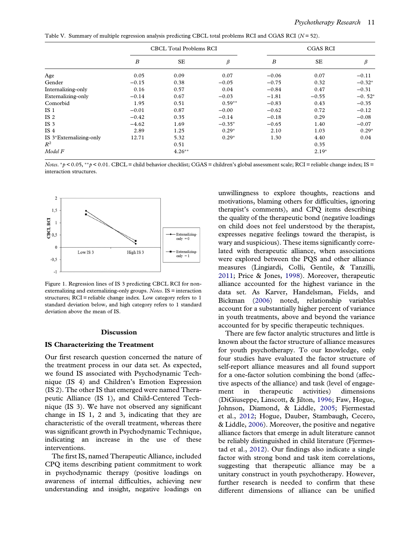<span id="page-11-0"></span>Table V. Summary of multiple regression analysis predicting CBCL total problems RCI and CGAS RCI ( $N = 52$ ).

|                         |         | CBCL Total Problems RCI |          |                  | <b>CGAS RCI</b> |          |
|-------------------------|---------|-------------------------|----------|------------------|-----------------|----------|
|                         | B       | SE                      | $\beta$  | $\boldsymbol{B}$ | SE              | $\beta$  |
| Age                     | 0.05    | 0.09                    | 0.07     | $-0.06$          | 0.07            | $-0.11$  |
| Gender                  | $-0.15$ | 0.38                    | $-0.05$  | $-0.75$          | 0.32            | $-0.32*$ |
| Internalizing-only      | 0.16    | 0.57                    | 0.04     | $-0.84$          | 0.47            | $-0.31$  |
| Externalizing-only      | $-0.14$ | 0.67                    | $-0.03$  | $-1.81$          | $-0.55$         | $-0.52*$ |
| Comorbid                | 1.95    | 0.51                    | $0.59**$ | $-0.83$          | 0.43            | $-0.35$  |
| IS <sub>1</sub>         | $-0.01$ | 0.87                    | $-0.00$  | $-0.62$          | 0.72            | $-0.12$  |
| IS <sub>2</sub>         | $-0.42$ | 0.35                    | $-0.14$  | $-0.18$          | 0.29            | $-0.08$  |
| IS <sub>3</sub>         | $-4.62$ | 1.69                    | $-0.35*$ | $-0.65$          | 1.40            | $-0.07$  |
| IS <sub>4</sub>         | 2.89    | 1.25                    | $0.29*$  | 2.10             | 1.03            | $0.29*$  |
| IS 3*Externalizing-only | 12.71   | 5.32                    | $0.29*$  | 1.30             | 4.40            | 0.04     |
| $R^2$                   |         | 0.51                    |          |                  | 0.35            |          |
| Model F                 |         | $4.26**$                |          |                  | $2.19*$         |          |

 $Notes.$  \* $p < 0.05$ , \*\* $p < 0.01$ . CBCL = child behavior checklist; CGAS = children's global assessment scale; RCI = reliable change index; IS = interaction structures.



Figure 1. Regression lines of IS 3 predicting CBCL RCI for nonexternalizing and externalizing-only groups. Notes. IS = interaction structures; RCI = reliable change index. Low category refers to 1 standard deviation below, and high category refers to 1 standard deviation above the mean of IS.

### Discussion

### IS Characterizing the Treatment

Our first research question concerned the nature of the treatment process in our data set. As expected, we found IS associated with Psychodynamic Technique (IS 4) and Children's Emotion Expression (IS 2). The other IS that emerged were named Therapeutic Alliance (IS 1), and Child-Centered Technique (IS 3). We have not observed any significant change in IS 1, 2 and 3, indicating that they are characteristic of the overall treatment, whereas there was significant growth in Psychodynamic Technique, indicating an increase in the use of these interventions.

The first IS, named Therapeutic Alliance, included CPQ items describing patient commitment to work in psychodynamic therapy (positive loadings on awareness of internal difficulties, achieving new understanding and insight, negative loadings on unwillingness to explore thoughts, reactions and motivations, blaming others for difficulties, ignoring therapist's comments), and CPQ items describing the quality of the therapeutic bond (negative loadings on child does not feel understood by the therapist, expresses negative feelings toward the therapist, is wary and suspicious). These items significantly correlated with therapeutic alliance, when associations were explored between the PQS and other alliance measures (Lingiardi, Colli, Gentile, & Tanzilli, [2011;](#page-15-0) Price & Jones, [1998\)](#page-16-0). Moreover, therapeutic alliance accounted for the highest variance in the data set. As Karver, Handelsman, Fields, and Bickman [\(2006\)](#page-15-0) noted, relationship variables account for a substantially higher percent of variance in youth treatments, above and beyond the variance accounted for by specific therapeutic techniques.

There are few factor analytic structures and little is known about the factor structure of alliance measures for youth psychotherapy. To our knowledge, only four studies have evaluated the factor structure of self-report alliance measures and all found support for a one-factor solution combining the bond (affective aspects of the alliance) and task (level of engagement in therapeutic activities) dimensions (DiGiuseppe, Linscott, & Jilton, [1996;](#page-15-0) Faw, Hogue, Johnson, Diamond, & Liddle, [2005](#page-15-0); Fjermestad et al., [2012;](#page-15-0) Hogue, Dauber, Stambaugh, Cecero, & Liddle, [2006](#page-15-0)). Moreover, the positive and negative alliance factors that emerge in adult literature cannot be reliably distinguished in child literature (Fjermestad et al., [2012\)](#page-15-0). Our findings also indicate a single factor with strong bond and task item correlations, suggesting that therapeutic alliance may be a unitary construct in youth psychotherapy. However, further research is needed to confirm that these different dimensions of alliance can be unified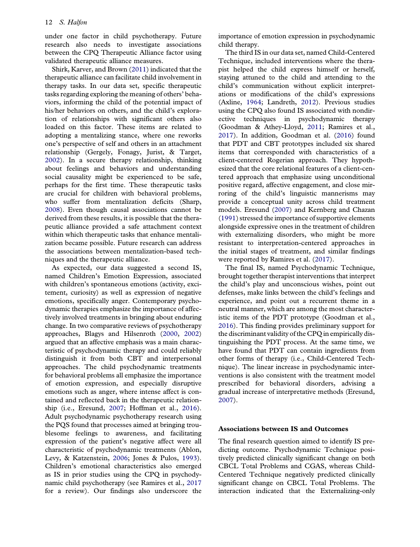<span id="page-12-0"></span>under one factor in child psychotherapy. Future research also needs to investigate associations between the CPQ Therapeutic Alliance factor using validated therapeutic alliance measures.

Shirk, Karver, and Brown ([2011](#page-16-0)) indicated that the therapeutic alliance can facilitate child involvement in therapy tasks. In our data set, specific therapeutic tasks regarding exploring the meaning of others' behaviors, informing the child of the potential impact of his/her behaviors on others, and the child's exploration of relationships with significant others also loaded on this factor. These items are related to adopting a mentalizing stance, where one reworks one's perspective of self and others in an attachment relationship (Gergely, Fonagy, Jurist, & Target, [2002\)](#page-15-0). In a secure therapy relationship, thinking about feelings and behaviors and understanding social causality might be experienced to be safe, perhaps for the first time. These therapeutic tasks are crucial for children with behavioral problems, who suffer from mentalization deficits (Sharp, [2008\)](#page-16-0). Even though causal associations cannot be derived from these results, it is possible that the therapeutic alliance provided a safe attachment context within which therapeutic tasks that enhance mentalization became possible. Future research can address the associations between mentalization-based techniques and the therapeutic alliance.

As expected, our data suggested a second IS, named Children's Emotion Expression, associated with children's spontaneous emotions (activity, excitement, curiosity) as well as expression of negative emotions, specifically anger. Contemporary psychodynamic therapies emphasize the importance of affectively involved treatments in bringing about enduring change. In two comparative reviews of psychotherapy approaches, Blagys and Hilsenroth [\(2000,](#page-15-0) [2002\)](#page-15-0) argued that an affective emphasis was a main characteristic of psychodynamic therapy and could reliably distinguish it from both CBT and interpersonal approaches. The child psychodynamic treatments for behavioral problems all emphasize the importance of emotion expression, and especially disruptive emotions such as anger, where intense affect is contained and reflected back in the therapeutic relationship (i.e., Eresund, [2007;](#page-15-0) Hoffman et al., [2016\)](#page-15-0). Adult psychodynamic psychotherapy research using the PQS found that processes aimed at bringing troublesome feelings to awareness, and facilitating expression of the patient's negative affect were all characteristic of psychodynamic treatments (Ablon, Levy, & Katzenstein, [2006](#page-15-0); Jones & Pulos, [1993\)](#page-15-0). Children's emotional characteristics also emerged as IS in prior studies using the CPQ in psychodynamic child psychotherapy (see Ramires et al., [2017](#page-16-0) for a review). Our findings also underscore the importance of emotion expression in psychodynamic child therapy.

The third IS in our data set, named Child-Centered Technique, included interventions where the therapist helped the child express himself or herself, staying attuned to the child and attending to the child's communication without explicit interpretations or modifications of the child's expressions (Axline, [1964](#page-15-0); Landreth, [2012\)](#page-15-0). Previous studies using the CPQ also found IS associated with nondirective techniques in psychodynamic therapy (Goodman & Athey-Lloyd, [2011;](#page-15-0) Ramires et al., [2017\)](#page-16-0). In addition, Goodman et al. [\(2016](#page-15-0)) found that PDT and CBT prototypes included six shared items that corresponded with characteristics of a client-centered Rogerian approach. They hypothesized that the core relational features of a client-centered approach that emphasize using unconditional positive regard, affective engagement, and close mirroring of the child's linguistic mannerisms may provide a conceptual unity across child treatment models. Eresund [\(2007\)](#page-15-0) and Kernberg and Chazan ([1991](#page-15-0)) stressed the importance of supportive elements alongside expressive ones in the treatment of children with externalizing disorders, who might be more resistant to interpretation-centered approaches in the initial stages of treatment, and similar findings were reported by Ramires et al. ([2017\)](#page-16-0).

The final IS, named Psychodynamic Technique, brought together therapist interventions that interpret the child's play and unconscious wishes, point out defenses, make links between the child's feelings and experience, and point out a recurrent theme in a neutral manner, which are among the most characteristic items of the PDT prototype (Goodman et al., [2016\)](#page-15-0). This finding provides preliminary support for the discriminant validity of the CPQ in empirically distinguishing the PDT process. At the same time, we have found that PDT can contain ingredients from other forms of therapy (i.e., Child-Centered Technique). The linear increase in psychodynamic interventions is also consistent with the treatment model prescribed for behavioral disorders, advising a gradual increase of interpretative methods (Eresund, [2007\)](#page-15-0).

### Associations between IS and Outcomes

The final research question aimed to identify IS predicting outcome. Psychodynamic Technique positively predicted clinically significant change on both CBCL Total Problems and CGAS, whereas Child-Centered Technique negatively predicted clinically significant change on CBCL Total Problems. The interaction indicated that the Externalizing-only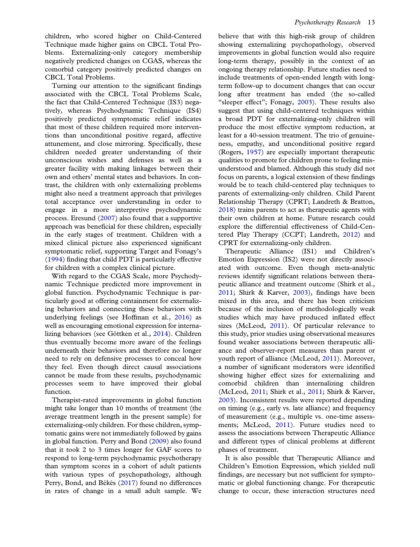<span id="page-13-0"></span>children, who scored higher on Child-Centered Technique made higher gains on CBCL Total Problems. Externalizing-only category membership negatively predicted changes on CGAS, whereas the comorbid category positively predicted changes on CBCL Total Problems.

Turning our attention to the significant findings associated with the CBCL Total Problems Scale, the fact that Child-Centered Technique (IS3) negatively, whereas Psychodynamic Technique (IS4) positively predicted symptomatic relief indicates that most of these children required more interventions than unconditional positive regard, affective attunement, and close mirroring. Specifically, these children needed greater understanding of their unconscious wishes and defenses as well as a greater facility with making linkages between their own and others' mental states and behaviors. In contrast, the children with only externalizing problems might also need a treatment approach that privileges total acceptance over understanding in order to engage in a more interpretive psychodynamic process. Eresund [\(2007\)](#page-15-0) also found that a supportive approach was beneficial for these children, especially in the early stages of treatment. Children with a mixed clinical picture also experienced significant symptomatic relief, supporting Target and Fonagy's ([1994\)](#page-16-0) finding that child PDT is particularly effective for children with a complex clinical picture.

With regard to the CGAS Scale, more Psychodynamic Technique predicted more improvement in global function. Psychodynamic Technique is particularly good at offering containment for externalizing behaviors and connecting these behaviors with underlying feelings (see Hoffman et al., [2016\)](#page-15-0) as well as encouraging emotional expression for internalizing behaviors (see Göttken et al., [2014](#page-15-0)). Children thus eventually become more aware of the feelings underneath their behaviors and therefore no longer need to rely on defensive processes to conceal how they feel. Even though direct causal associations cannot be made from these results, psychodynamic processes seem to have improved their global function.

Therapist-rated improvements in global function might take longer than 10 months of treatment (the average treatment length in the present sample) for externalizing-only children. For these children, symptomatic gains were not immediately followed by gains in global function. Perry and Bond ([2009\)](#page-16-0) also found that it took 2 to 3 times longer for GAF scores to respond to long-term psychodynamic psychotherapy than symptom scores in a cohort of adult patients with various types of psychopathology, although Perry, Bond, and Békés ([2017](#page-16-0)) found no differences in rates of change in a small adult sample. We

believe that with this high-risk group of children showing externalizing psychopathology, observed improvements in global function would also require long-term therapy, possibly in the context of an ongoing therapy relationship. Future studies need to include treatments of open-ended length with longterm follow-up to document changes that can occur long after treatment has ended (the so-called "sleeper effect"; Fonagy, [2003](#page-15-0)). These results also suggest that using child-centered techniques within a broad PDT for externalizing-only children will produce the most effective symptom reduction, at least for a 40-session treatment. The trio of genuineness, empathy, and unconditional positive regard (Rogers, [1957](#page-16-0)) are especially important therapeutic qualities to promote for children prone to feeling misunderstood and blamed. Although this study did not focus on parents, a logical extension of these findings would be to teach child-centered play techniques to parents of externalizing-only children. Child Parent Relationship Therapy (CPRT; Landreth & Bratton, [2018\)](#page-15-0) trains parents to act as therapeutic agents with their own children at home. Future research could explore the differential effectiveness of Child-Centered Play Therapy (CCPT; Landreth, [2012](#page-15-0)) and CPRT for externalizing-only children.

Therapeutic Alliance (IS1) and Children's Emotion Expression (IS2) were not directly associated with outcome. Even though meta-analytic reviews identify significant relations between therapeutic alliance and treatment outcome (Shirk et al., [2011;](#page-16-0) Shirk & Karver, [2003](#page-16-0)), findings have been mixed in this area, and there has been criticism because of the inclusion of methodologically weak studies which may have produced inflated effect sizes (McLeod, [2011](#page-15-0)). Of particular relevance to this study, prior studies using observational measures found weaker associations between therapeutic alliance and observer-report measures than parent or youth report of alliance (McLeod, [2011](#page-15-0)). Moreover, a number of significant moderators were identified showing higher effect sizes for externalizing and comorbid children than internalizing children (McLeod, [2011;](#page-15-0) Shirk et al., [2011](#page-16-0); Shirk & Karver, [2003\)](#page-16-0). Inconsistent results were reported depending on timing (e.g., early vs. late alliance) and frequency of measurement (e.g., multiple vs. one-time assessments; McLeod, [2011](#page-15-0)). Future studies need to assess the associations between Therapeutic Alliance and different types of clinical problems at different phases of treatment.

It is also possible that Therapeutic Alliance and Children's Emotion Expression, which yielded null findings, are necessary but not sufficient for symptomatic or global functioning change. For therapeutic change to occur, these interaction structures need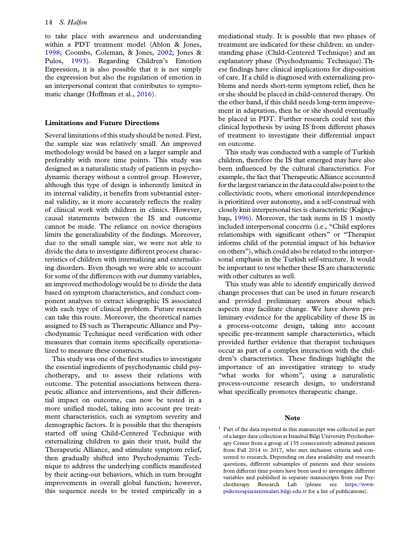<span id="page-14-0"></span>to take place with awareness and understanding within a PDT treatment model (Ablon & Jones, [1998;](#page-15-0) Coombs, Coleman, & Jones, [2002;](#page-15-0) Jones & Pulos, [1993\)](#page-15-0). Regarding Children's Emotion Expression, it is also possible that it is not simply the expression but also the regulation of emotion in an interpersonal context that contributes to symptomatic change (Hoffman et al., [2016](#page-15-0)).

### Limitations and Future Directions

Several limitations of this study should be noted. First, the sample size was relatively small. An improved methodology would be based on a larger sample and preferably with more time points. This study was designed as a naturalistic study of patients in psychodynamic therapy without a control group. However, although this type of design is inherently limited in its internal validity, it benefits from substantial external validity, as it more accurately reflects the reality of clinical work with children in clinics. However, causal statements between the IS and outcome cannot be made. The reliance on novice therapists limits the generalizability of the findings. Moreover, due to the small sample size, we were not able to divide the data to investigate different process characteristics of children with internalizing and externalizing disorders. Even though we were able to account for some of the differences with our dummy variables, an improved methodology would be to divide the data based on symptom characteristics, and conduct component analyses to extract idiographic IS associated with each type of clinical problem. Future research can take this route. Moreover, the theoretical names assigned to IS such as Therapeutic Alliance and Psychodynamic Technique need verification with other measures that contain items specifically operationalized to measure these constructs.

This study was one of the first studies to investigate the essential ingredients of psychodynamic child psychotherapy, and to assess their relations with outcome. The potential associations between therapeutic alliance and interventions, and their differential impact on outcome, can now be tested in a more unified model, taking into account pre treatment characteristics, such as symptom severity and demographic factors. It is possible that the therapists started off using Child-Centered Technique with externalizing children to gain their trust, build the Therapeutic Alliance, and stimulate symptom relief, then gradually shifted into Psychodynamic Technique to address the underlying conflicts manifested by their acting-out behaviors, which in turn brought improvements in overall global function; however, this sequence needs to be tested empirically in a

mediational study. It is possible that two phases of treatment are indicated for these children: an understanding phase (Child-Centered Technique) and an explanatory phase (Psychodynamic Technique).These findings have clinical implications for disposition of care. If a child is diagnosed with externalizing problems and needs short-term symptom relief, then he or she should be placed in child-centered therapy. On the other hand, if this child needs long-term improvement in adaptation, then he or she should eventually be placed in PDT. Further research could test this clinical hypothesis by using IS from different phases of treatment to investigate their differential impact on outcome.

This study was conducted with a sample of Turkish children, therefore the IS that emerged may have also been influenced by the cultural characteristics. For example, the fact that Therapeutic Alliance accounted for the largest variance in the data could also point to the collectivistic roots, where emotional interdependence is prioritized over autonomy, and a self-construal with closely knit interpersonal ties is characteristic (Kağıtçıbası̧, [1996](#page-15-0)). Moreover, the task items in IS 1 mostly included interpersonal concerns (i.e., "Child explores relationships with significant others" or "Therapist informs child of the potential impact of his behavior on others"), which could also be related to the interpersonal emphasis in the Turkish self-structure. It would be important to test whether these IS are characteristic with other cultures as well.

This study was able to identify empirically derived change processes that can be used in future research and provided preliminary answers about which aspects may facilitate change. We have shown preliminary evidence for the applicability of these IS in a process-outcome design, taking into account specific pre-treatment sample characteristics, which provided further evidence that therapist techniques occur as part of a complex interaction with the children's characteristics. These findings highlight the importance of an investigative strategy to study "what works for whom", using a naturalistic process-outcome research design, to understand what specifically promotes therapeutic change.

### Note

Part of the data reported in this manuscript was collected as part of a larger data collection at Istanbul Bilgi University Psychotherapy Center from a group of 135 consecutively admitted patients from Fall 2014 to 2017, who met inclusion criteria and consented to research. Depending on data availability and research questions, different subsamples of patients and their sessions from different time points have been used to investigate different variables and published in separate manuscripts from our Psychotherapy Research Lab (please see [https://www.](https://www.psikoterapiarastirmalari.bilgi.edu.tr) [psikoterapiarastirmalari.bilgi.edu.tr](https://www.psikoterapiarastirmalari.bilgi.edu.tr) for a list of publications).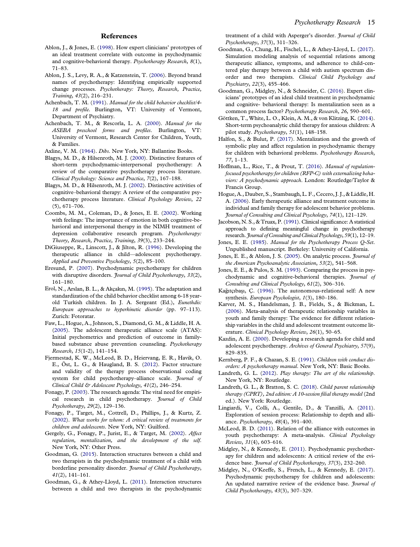### References

- <span id="page-15-0"></span>Ablon, J., & Jones, E. ([1998](#page-14-0)). How expert clinicians' prototypes of an ideal treatment correlate with outcome in psychodynamic and cognitive-behavioral therapy. Psychotherapy Research, 8(1), 71–83.
- Ablon, J. S., Levy, R. A., & Katzenstein, T. [\(2006](#page-12-0)). Beyond brand names of psychotherapy: Identifying empirically supported change processes. Psychotherapy: Theory, Research, Practice, Training, 43(2), 216–231.
- Achenbach, T. M. [\(1991](#page-4-0)). Manual for the child behavior checklist/4- 18 and profile. Burlington, VT: University of Vermont, Department of Psychiatry.
- Achenbach, T. M., & Rescorla, L. A. [\(2000](#page-6-0)). Manual for the ASEBA preschool forms and profiles. Burlington, VT: University of Vermont, Research Center for Children, Youth, & Families.
- Axline, V. M. [\(1964\)](#page-12-0). Dibs. New York, NY: Ballantine Books.
- Blagys, M. D., & Hilsenroth, M. J. ([2000](#page-12-0)). Distinctive features of short-term psychodynamic-interpersonal psychotherapy: A review of the comparative psychotherapy process literature. Clinical Psychology: Science and Practice, 7(2), 167–188.
- Blagys, M. D., & Hilsenroth, M. J. ([2002](#page-12-0)). Distinctive activities of cognitive–behavioral therapy: A review of the comparative psychotherapy process literature. Clinical Psychology Review, 22 (5), 671–706.
- Coombs, M. M., Coleman, D., & Jones, E. E. ([2002](#page-14-0)). Working with feelings: The importance of emotion in both cognitive-behavioral and interpersonal therapy in the NIMH treatment of depression collaborative research program. Psychotherapy: Theory, Research, Practice, Training, 39(3), 233–244.
- DiGiuseppe, R., Linscott, J., & Jilton, R. [\(1996\)](#page-11-0). Developing the therapeutic alliance in child—adolescent psychotherapy. Applied and Preventive Psychology, 5(2), 85–100.
- Eresund, P. [\(2007](#page-3-0)). Psychodynamic psychotherapy for children with disruptive disorders. Journal of Child Psychotherapy, 33(2), 161–180.
- Erol, N., Arslan, B. L., & Akçakın, M. ([1995](#page-6-0)). The adaptation and standardization of the child behavior checklist among 6-18 yearold Turkish children. In J. A. Sergeant (Ed.), Eunethdis: European approaches to hyperkinetic disorder (pp. 97–113). Zurich: Fotoratar.
- Faw, L., Hogue, A., Johnson, S., Diamond, G. M., & Liddle, H. A. ([2005\)](#page-11-0). The adolescent therapeutic alliance scale (ATAS): Initial psychometrics and prediction of outcome in familybased substance abuse prevention counseling. Psychotherapy Research, 15(1-2), 141–154.
- Fjermestad, K. W., McLeod, B. D., Heiervang, E. R., Havik, O. E., Öst, L. G., & Haugland, B. S. [\(2012](#page-11-0)). Factor structure and validity of the therapy process observational coding system for child psychotherapy-alliance scale. Journal of Clinical Child & Adolescent Psychology, 41(2), 246–254.
- Fonagy, P. ([2003](#page-13-0)). The research agenda: The vital need for empirical research in child psychotherapy. Journal of Child Psychotherapy, 29(2), 129–136.
- Fonagy, P., Target, M., Cottrell, D., Phillips, J., & Kurtz, Z. ([2002\)](#page-1-0). What works for whom: A critical review of treatments for children and adolescents. New York, NY: Guilford.
- Gergely, G., Fonagy, P., Jurist, E., & Target, M. [\(2002](#page-12-0)). Affect regulation, mentalization, and the development of the self. New York, NY: Other Press.
- Goodman, G. ([2015](#page-2-0)). Interaction structures between a child and two therapists in the psychodynamic treatment of a child with borderline personality disorder. Journal of Child Psychotherapy, 41(2), 141–161.
- Goodman, G., & Athey-Lloyd, L. ([2011\)](#page-2-0). Interaction structures between a child and two therapists in the psychodynamic

treatment of a child with Asperger's disorder. Journal of Child Psychotherapy, 37(3), 311–326.

- Goodman, G., Chung, H., Fischel, L., & Athey-Lloyd, L. ([2017\)](#page-2-0). Simulation modeling analysis of sequential relations among therapeutic alliance, symptoms, and adherence to child-centered play therapy between a child with autism spectrum disorder and two therapists. Clinical Child Psychology and Psychiatry, 22(3), 455–466.
- Goodman, G., Midgley, N., & Schneider, C. [\(2016\)](#page-3-0). Expert clinicians' prototypes of an ideal child treatment in psychodynamic and cognitive- behavioral therapy: Is mentalization seen as a common process factor? Psychotherapy Research, 26, 590–601.
- Göttken, T., White, L. O., Klein, A. M., & von Klitzing, K. ([2014\)](#page-3-0). Short-term psychoanalytic child therapy for anxious children: A pilot study. Psychotherapy, 51(1), 148-158.
- Halfon, S., & Bulut, P. [\(2017](#page-3-0)). Mentalization and the growth of symbolic play and affect regulation in psychodynamic therapy for children with behavioral problems. Psychotherapy Research, 77, 1–13.
- Hoffman, L., Rice, T., & Prout, T. ([2016](#page-3-0)). Manual of regulationfocused psychotherapy for children (RFP-C) with externalizing behaviors: A psychodynamic approach. London: Routledge/Taylor & Francis Group.
- Hogue, A., Dauber, S., Stambaugh, L. F., Cecero, J. J., & Liddle, H. A. ([2006\)](#page-11-0). Early therapeutic alliance and treatment outcome in individual and family therapy for adolescent behavior problems. Journal of Consulting and Clinical Psychology, 74(1), 121–129.
- Jacobson, N. S., & Truax, P. [\(1991\)](#page-7-0). Clinical significance: A statistical approach to defining meaningful change in psychotherapy research. Journal of Consulting and Clinical Psychology, 59(1), 12–19.
- Jones, E. E. ([1985\)](#page-2-0). Manual for the Psychotherapy Process Q-Set. Unpublished manuscript. Berkeley: University of California.
- Jones, E. E., & Ablon, J. S. [\(2005\)](#page-2-0). On analytic process. *Journal of* the American Psychoanalytic Association, 53(2), 541–568.
- Jones, E. E., & Pulos, S. M. [\(1993](#page-12-0)). Comparing the process in psychodynamic and cognitive-behavioral therapies. Journal of Consulting and Clinical Psychology, 61(2), 306–316.
- Kağıtçıbası̧, Ç. ([1996\)](#page-14-0). The autonomous-relational self: A new synthesis. European Psychologist, 1(3), 180-186.
- Karver, M. S., Handelsman, J. B., Fields, S., & Bickman, L. [\(2006\)](#page-11-0). Meta-analysis of therapeutic relationship variables in youth and family therapy: The evidence for different relationship variables in the child and adolescent treatment outcome literature. Clinical Psychology Review, 26(1), 50–65.
- Kazdin, A. E. ([2000\)](#page-2-0). Developing a research agenda for child and adolescent psychotherapy. Archives of General Psychiatry, 57(9), 829–835.
- Kernberg, P. F., & Chazan, S. E. ([1991\)](#page-3-0). Children with conduct disorders: A psychotherapy manual. New York, NY: Basic Books.
- Landreth, G. L. ([2012](#page-12-0)). Play therapy: The art of the relationship. New York, NY: Routledge.
- Landreth, G. L., & Bratton, S. C. ([2018\)](#page-13-0). Child parent relationship therapy (CPRT), 2nd edition: A 10-session filial therapy model (2nd ed.). New York: Routledge.
- Lingiardi, V., Colli, A., Gentile, D., & Tanzilli, A. ([2011\)](#page-11-0). Exploration of session process: Relationship to depth and alliance. Psychotherapy, 48(4), 391–400.
- McLeod, B. D. [\(2011\)](#page-13-0). Relation of the alliance with outcomes in youth psychotherapy: A meta-analysis. Clinical Psychology Review, 31(4), 603–616.
- Midgley, N., & Kennedy, E. [\(2011\)](#page-2-0). Psychodynamic psychotherapy for children and adolescents: A critical review of the evidence base. *Journal of Child Psychotherapy*, 37(3), 232-260.
- Midgley, N., O'Keeffe, S., French, L., & Kennedy, E. ([2017\)](#page-1-0). Psychodynamic psychotherapy for children and adolescents: An updated narrative review of the evidence base. Journal of Child Psychotherapy, 43(3), 307–329.